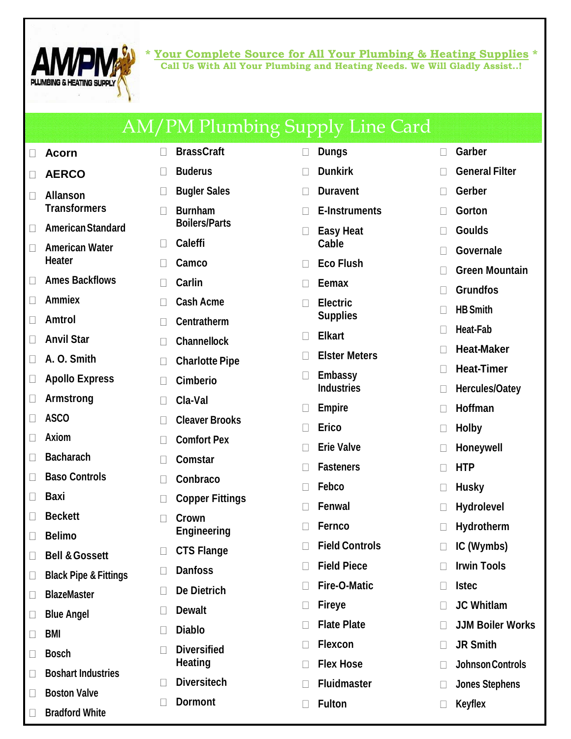

**\* Your Complete Source for All Your Plumbing & Heating Supplies \* Call Us With All Your Plumbing and Heating Needs. We Will Gladly Assist..!**

|                  |                                        |        | <b>AM/PM Plumbing Supply Line Card</b> |              |                                    |              |                         |
|------------------|----------------------------------------|--------|----------------------------------------|--------------|------------------------------------|--------------|-------------------------|
|                  | <b>Acorn</b>                           | $\Box$ | <b>BrassCraft</b>                      | $\Box$       | <b>Dungs</b>                       | П            | Garber                  |
|                  | <b>AERCO</b>                           |        | <b>Buderus</b>                         | $\Box$       | <b>Dunkirk</b>                     |              | <b>General Filter</b>   |
| $\Box$           | <b>Allanson</b>                        |        | <b>Bugler Sales</b>                    | $\Box$       | <b>Duravent</b>                    |              | Gerber                  |
|                  | <b>Transformers</b>                    |        | <b>Burnham</b>                         | $\Box$       | <b>E-Instruments</b>               |              | Gorton                  |
| $\Box$           | <b>American Standard</b>               |        | <b>Boilers/Parts</b>                   |              | <b>Easy Heat</b>                   |              | <b>Goulds</b>           |
| $\Box$           | <b>American Water</b><br><b>Heater</b> |        | <b>Caleffi</b>                         |              | Cable                              |              | Governale               |
| П                | <b>Ames Backflows</b>                  |        | Camco                                  | $\mathbf{L}$ | <b>Eco Flush</b>                   |              | <b>Green Mountain</b>   |
|                  | <b>Ammiex</b>                          |        | <b>Carlin</b>                          | $\Box$       | <b>Eemax</b>                       |              | <b>Grundfos</b>         |
|                  | <b>Amtrol</b>                          |        | <b>Cash Acme</b>                       | $\Box$       | <b>Electric</b><br><b>Supplies</b> |              | <b>HB Smith</b>         |
|                  | <b>Anvil Star</b>                      |        | <b>Centratherm</b>                     |              | <b>Elkart</b>                      |              | <b>Heat-Fab</b>         |
|                  | A. O. Smith                            |        | <b>Channellock</b>                     | $\mathbf{L}$ | <b>Elster Meters</b>               |              | <b>Heat-Maker</b>       |
|                  |                                        |        | <b>Charlotte Pipe</b>                  |              | <b>Embassy</b>                     |              | <b>Heat-Timer</b>       |
|                  | <b>Apollo Express</b>                  |        | <b>Cimberio</b>                        |              | <b>Industries</b>                  | $\mathbf{L}$ | <b>Hercules/Oatey</b>   |
|                  | <b>Armstrong</b><br><b>ASCO</b>        |        | Cla-Val                                |              | <b>Empire</b>                      |              | Hoffman                 |
|                  | <b>Axiom</b>                           |        | <b>Cleaver Brooks</b>                  |              | <b>Erico</b>                       |              | <b>Holby</b>            |
|                  | <b>Bacharach</b>                       |        | <b>Comfort Pex</b>                     | $\Box$       | <b>Erie Valve</b>                  |              | <b>Honeywell</b>        |
|                  | <b>Baso Controls</b>                   |        | <b>Comstar</b>                         | $\mathbf{L}$ | <b>Fasteners</b>                   |              | <b>HTP</b>              |
|                  |                                        |        | Conbraco                               |              | Febco                              |              | <b>Husky</b>            |
|                  | <b>Baxi</b>                            |        | <b>Copper Fittings</b>                 |              | <b>Fenwal</b>                      |              | <b>Hydrolevel</b>       |
| $\Box$<br>$\Box$ | <b>Beckett</b><br><b>Belimo</b>        |        | Crown<br><b>Engineering</b>            |              | <b>Fernco</b>                      |              | Hydrotherm              |
|                  | <b>Bell &amp; Gossett</b>              |        | <b>CTS Flange</b>                      |              | <b>Field Controls</b>              |              | IC (Wymbs)              |
| $\Box$           | <b>Black Pipe &amp; Fittings</b>       |        | <b>Danfoss</b>                         | $\mathbf{L}$ | <b>Field Piece</b>                 |              | <b>Irwin Tools</b>      |
| $\Box$           | <b>BlazeMaster</b>                     |        | <b>De Dietrich</b>                     | $\mathbf{L}$ | <b>Fire-O-Matic</b>                |              | <b>Istec</b>            |
| $\Box$           | <b>Blue Angel</b>                      |        | <b>Dewalt</b>                          | $\Box$       | <b>Fireye</b>                      |              | <b>JC Whitlam</b>       |
| $\Box$           | <b>BMI</b>                             |        | <b>Diablo</b>                          | $\Box$       | <b>Flate Plate</b>                 | П            | <b>JJM Boiler Works</b> |
| $\Box$           | <b>Bosch</b>                           |        | <b>Diversified</b>                     | $\mathbf{L}$ | <b>Flexcon</b>                     |              | <b>JR Smith</b>         |
| $\Box$           | <b>Boshart Industries</b>              |        | <b>Heating</b>                         | $\Box$       | <b>Flex Hose</b>                   |              | Johnson Controls        |
|                  | <b>Boston Valve</b>                    |        | <b>Diversitech</b>                     | $\mathbf{L}$ | <b>Fluidmaster</b>                 |              | <b>Jones Stephens</b>   |
|                  | <b>Bradford White</b>                  |        | <b>Dormont</b>                         |              | <b>Fulton</b>                      |              | <b>Keyflex</b>          |
|                  |                                        |        |                                        |              |                                    |              |                         |